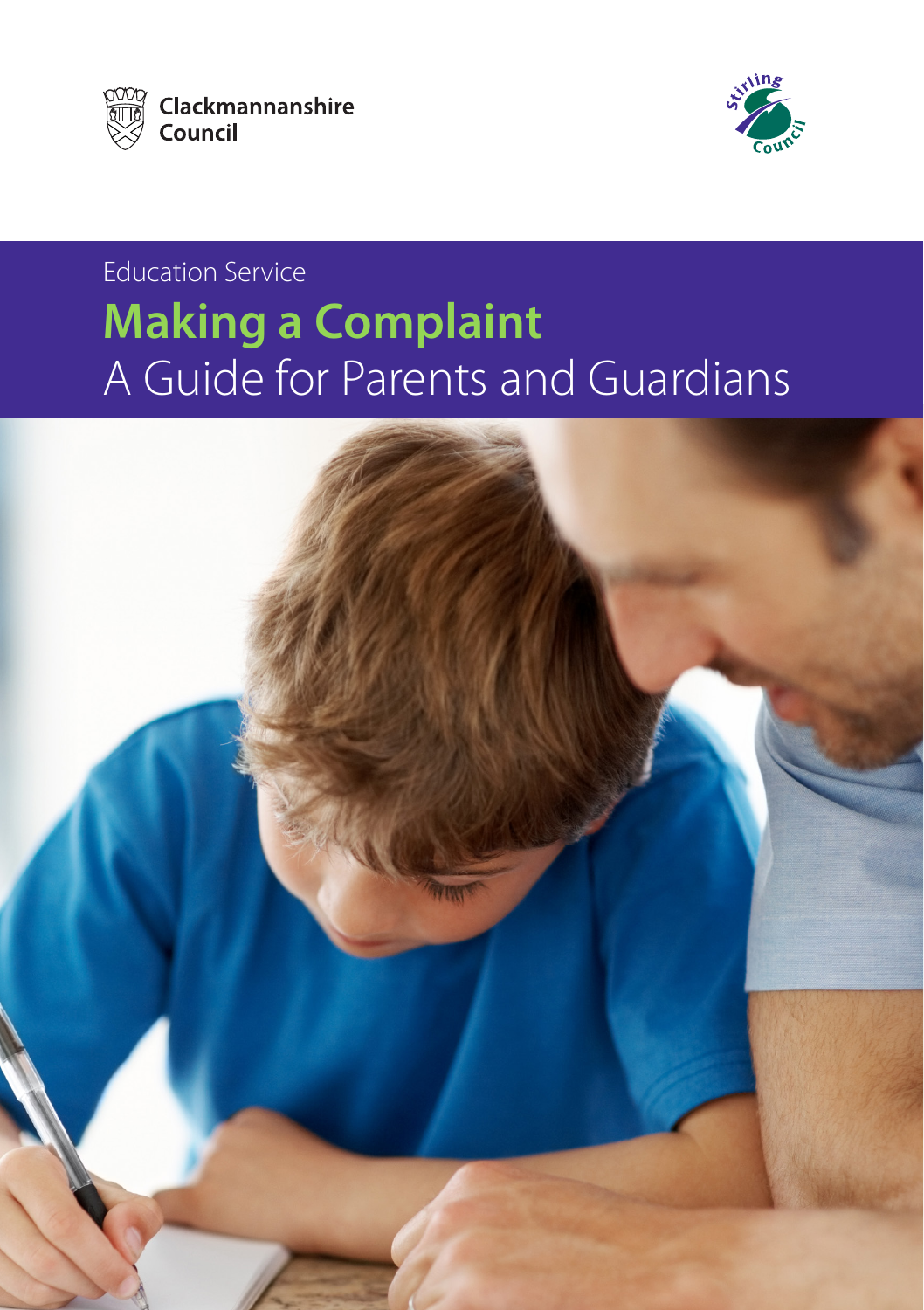



# Education Service **Making a Complaint** A Guide for Parents and Guardians

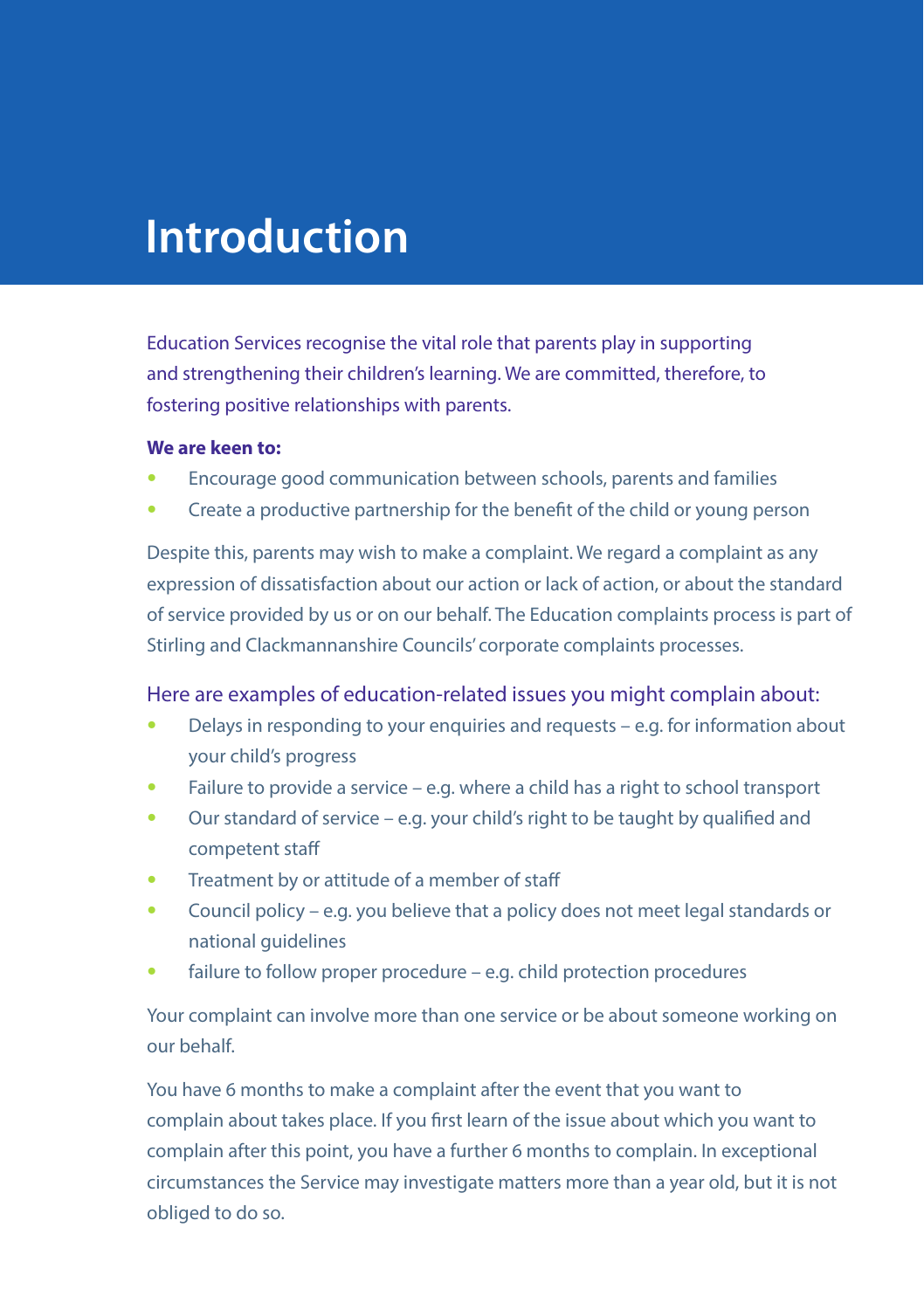# **Introduction**

Education Services recognise the vital role that parents play in supporting and strengthening their children's learning. We are committed, therefore, to fostering positive relationships with parents.

#### **We are keen to:**

- Encourage good communication between schools, parents and families
- Create a productive partnership for the benefit of the child or young person

Despite this, parents may wish to make a complaint. We regard a complaint as any expression of dissatisfaction about our action or lack of action, or about the standard of service provided by us or on our behalf. The Education complaints process is part of Stirling and Clackmannanshire Councils' corporate complaints processes.

#### Here are examples of education-related issues you might complain about:

- Delays in responding to your enquiries and requests e.g. for information about your child's progress
- Failure to provide a service e.g. where a child has a right to school transport
- Our standard of service e.g. your child's right to be taught by qualified and competent staff
- Treatment by or attitude of a member of staff
- Council policy e.g. you believe that a policy does not meet legal standards or national guidelines
- failure to follow proper procedure e.g. child protection procedures

Your complaint can involve more than one service or be about someone working on our behalf.

You have 6 months to make a complaint after the event that you want to complain about takes place. If you first learn of the issue about which you want to complain after this point, you have a further 6 months to complain. In exceptional circumstances the Service may investigate matters more than a year old, but it is not obliged to do so.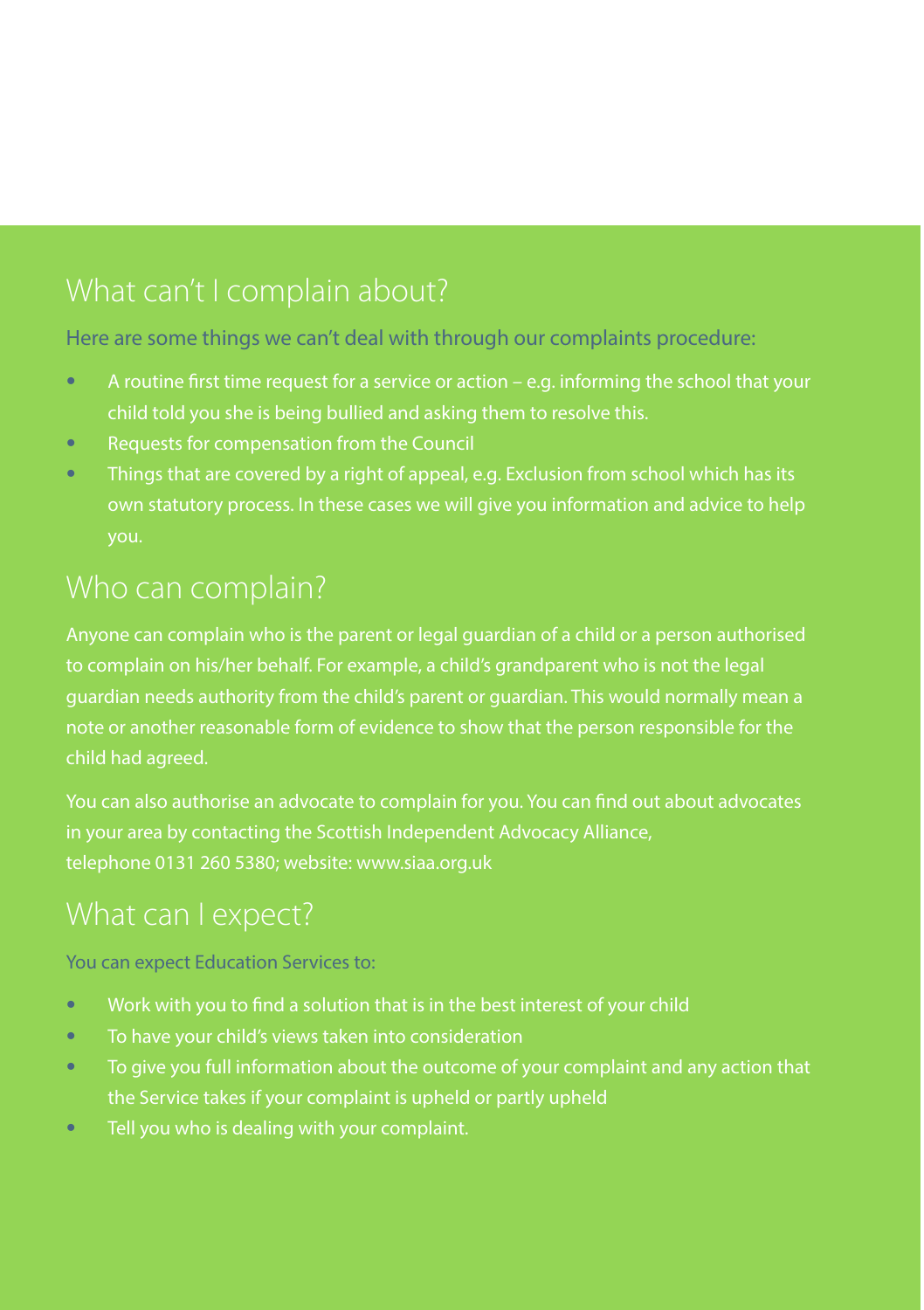## What can't I complain about?

#### Here are some things we can't deal with through our complaints procedure:

- A routine first time request for a service or action e.g. informing the school that your child told you she is being bullied and asking them to resolve this.
- Requests for compensation from the Council
- Things that are covered by a right of appeal, e.g. Exclusion from school which has its you.

to complain on his/her behalf. For example, a child's grandparent who is not the legal note or another reasonable form of evidence to show that the person responsible for the child had agreed.

You can also authorise an advocate to complain for you. You can find out about advocates telephone 0131 260 5380; website: www.siaa.org.uk

You can expect Education Services to:

- Work with you to find a solution that is in the best interest of your child
- To have your child's views taken into consideration
- To give you full information about the outcome of your complaint and any action that the Service takes if your complaint is upheld or partly upheld
- Tell you who is dealing with your complaint.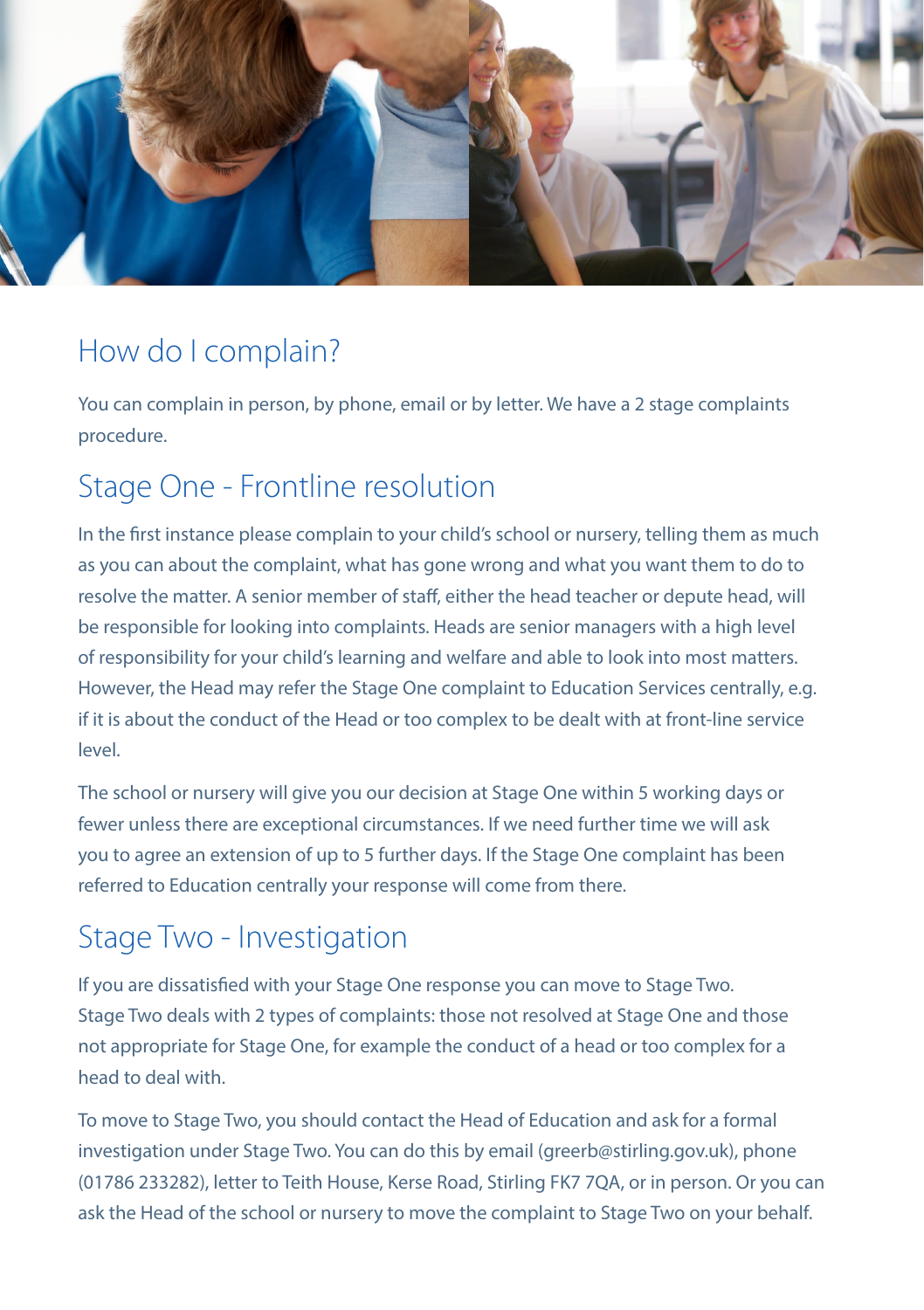

## How do I complain?

You can complain in person, by phone, email or by letter. We have a 2 stage complaints procedure.

## Stage One - Frontline resolution

In the first instance please complain to your child's school or nursery, telling them as much as you can about the complaint, what has gone wrong and what you want them to do to resolve the matter. A senior member of staff, either the head teacher or depute head, will be responsible for looking into complaints. Heads are senior managers with a high level of responsibility for your child's learning and welfare and able to look into most matters. However, the Head may refer the Stage One complaint to Education Services centrally, e.g. if it is about the conduct of the Head or too complex to be dealt with at front-line service level.

The school or nursery will give you our decision at Stage One within 5 working days or fewer unless there are exceptional circumstances. If we need further time we will ask you to agree an extension of up to 5 further days. If the Stage One complaint has been referred to Education centrally your response will come from there.

## Stage Two - Investigation

If you are dissatisfied with your Stage One response you can move to Stage Two. Stage Two deals with 2 types of complaints: those not resolved at Stage One and those not appropriate for Stage One, for example the conduct of a head or too complex for a head to deal with.

To move to Stage Two, you should contact the Head of Education and ask for a formal investigation under Stage Two. You can do this by email (greerb@stirling.gov.uk), phone (01786 233282), letter to Teith House, Kerse Road, Stirling FK7 7QA, or in person. Or you can ask the Head of the school or nursery to move the complaint to Stage Two on your behalf.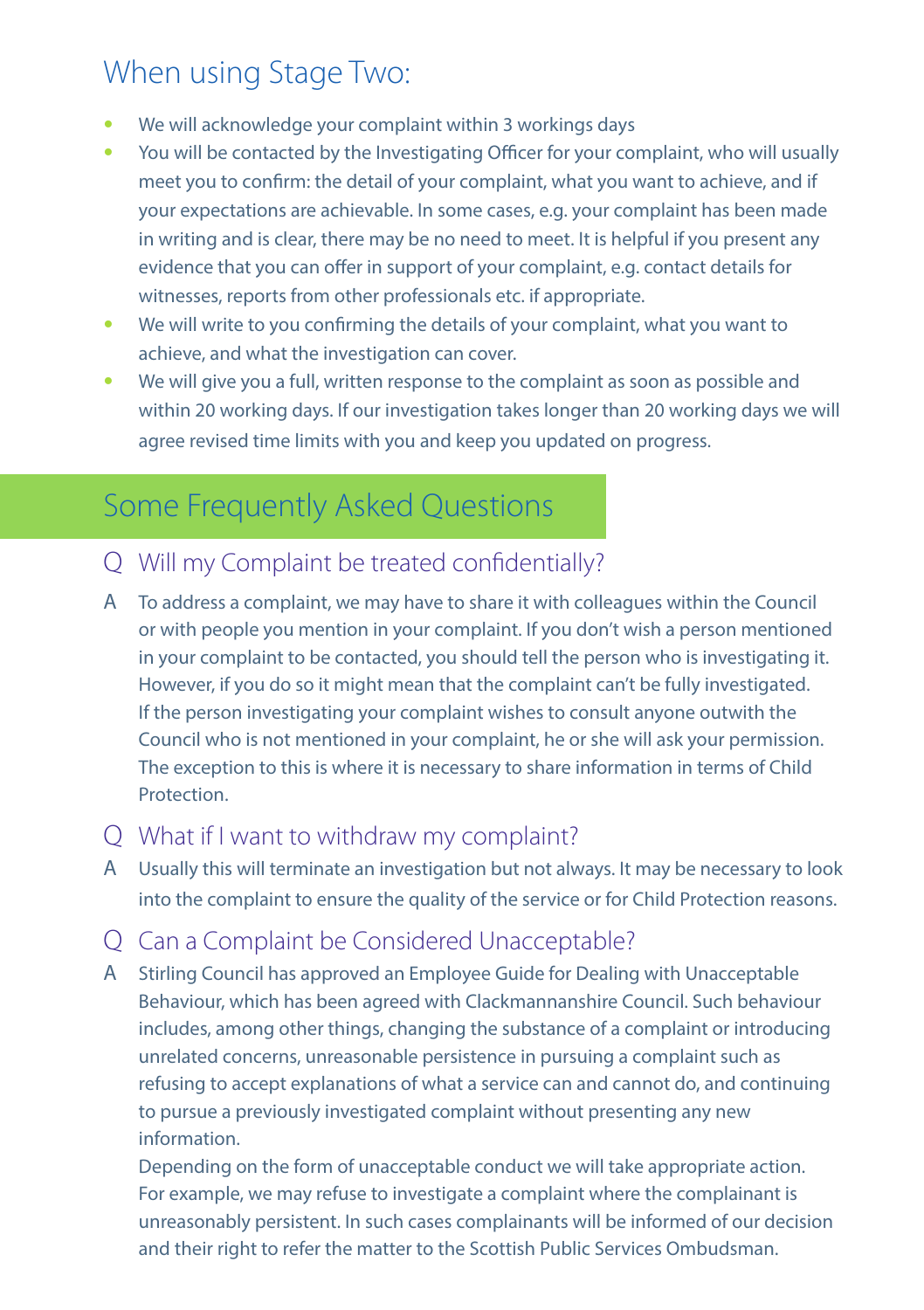## When using Stage Two:

- We will acknowledge your complaint within 3 workings days
- You will be contacted by the Investigating Officer for your complaint, who will usually meet you to confirm: the detail of your complaint, what you want to achieve, and if your expectations are achievable. In some cases, e.g. your complaint has been made in writing and is clear, there may be no need to meet. It is helpful if you present any evidence that you can offer in support of your complaint, e.g. contact details for witnesses, reports from other professionals etc. if appropriate.
- We will write to you confirming the details of your complaint, what you want to achieve, and what the investigation can cover.
- We will give you a full, written response to the complaint as soon as possible and within 20 working days. If our investigation takes longer than 20 working days we will agree revised time limits with you and keep you updated on progress.

## Some Frequently Asked Questions

- Q Will my Complaint be treated confidentially?
- A To address a complaint, we may have to share it with colleagues within the Council or with people you mention in your complaint. If you don't wish a person mentioned in your complaint to be contacted, you should tell the person who is investigating it. However, if you do so it might mean that the complaint can't be fully investigated. If the person investigating your complaint wishes to consult anyone outwith the Council who is not mentioned in your complaint, he or she will ask your permission. The exception to this is where it is necessary to share information in terms of Child **Protection**
- Q What if I want to withdraw my complaint?
- A Usually this will terminate an investigation but not always. It may be necessary to look into the complaint to ensure the quality of the service or for Child Protection reasons.
- Q Can a Complaint be Considered Unacceptable?
- A Stirling Council has approved an Employee Guide for Dealing with Unacceptable Behaviour, which has been agreed with Clackmannanshire Council. Such behaviour includes, among other things, changing the substance of a complaint or introducing unrelated concerns, unreasonable persistence in pursuing a complaint such as refusing to accept explanations of what a service can and cannot do, and continuing to pursue a previously investigated complaint without presenting any new information.

Depending on the form of unacceptable conduct we will take appropriate action. For example, we may refuse to investigate a complaint where the complainant is unreasonably persistent. In such cases complainants will be informed of our decision and their right to refer the matter to the Scottish Public Services Ombudsman.